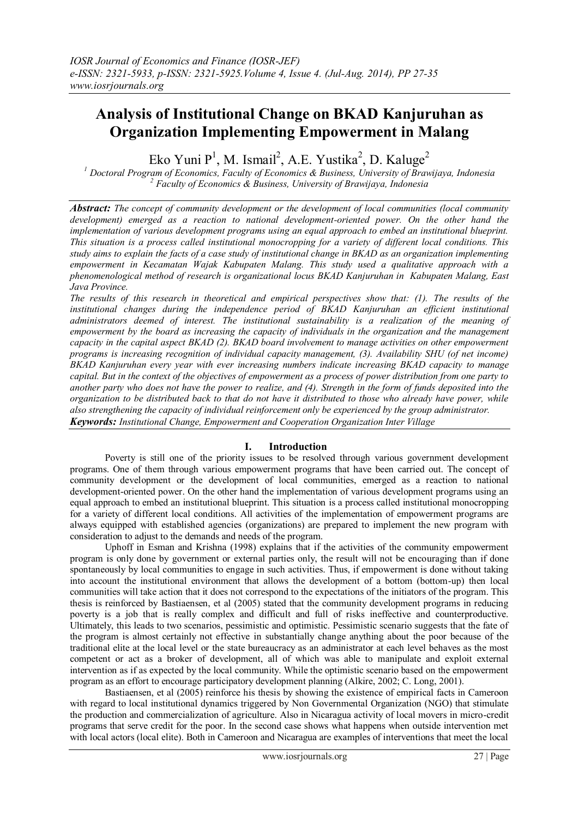# **Analysis of Institutional Change on BKAD Kanjuruhan as Organization Implementing Empowerment in Malang**

Eko Yuni P<sup>1</sup>, M. Ismail<sup>2</sup>, A.E. Yustika<sup>2</sup>, D. Kaluge<sup>2</sup>

*<sup>1</sup> Doctoral Program of Economics, Faculty of Economics & Business, University of Brawijaya, Indonesia <sup>2</sup> Faculty of Economics & Business, University of Brawijaya, Indonesia*

*Abstract: The concept of community development or the development of local communities (local community development) emerged as a reaction to national development-oriented power. On the other hand the implementation of various development programs using an equal approach to embed an institutional blueprint. This situation is a process called institutional monocropping for a variety of different local conditions. This study aims to explain the facts of a case study of institutional change in BKAD as an organization implementing empowerment in Kecamatan Wajak Kabupaten Malang. This study used a qualitative approach with a phenomenological method of research is organizational locus BKAD Kanjuruhan in Kabupaten Malang, East Java Province.*

*The results of this research in theoretical and empirical perspectives show that: (1). The results of the institutional changes during the independence period of BKAD Kanjuruhan an efficient institutional administrators deemed of interest. The institutional sustainability is a realization of the meaning of empowerment by the board as increasing the capacity of individuals in the organization and the management capacity in the capital aspect BKAD (2). BKAD board involvement to manage activities on other empowerment programs is increasing recognition of individual capacity management, (3). Availability SHU (of net income) BKAD Kanjuruhan every year with ever increasing numbers indicate increasing BKAD capacity to manage capital. But in the context of the objectives of empowerment as a process of power distribution from one party to another party who does not have the power to realize, and (4). Strength in the form of funds deposited into the organization to be distributed back to that do not have it distributed to those who already have power, while also strengthening the capacity of individual reinforcement only be experienced by the group administrator. Keywords: Institutional Change, Empowerment and Cooperation Organization Inter Village*

### **I. Introduction**

Poverty is still one of the priority issues to be resolved through various government development programs. One of them through various empowerment programs that have been carried out. The concept of community development or the development of local communities, emerged as a reaction to national development-oriented power. On the other hand the implementation of various development programs using an equal approach to embed an institutional blueprint. This situation is a process called institutional monocropping for a variety of different local conditions. All activities of the implementation of empowerment programs are always equipped with established agencies (organizations) are prepared to implement the new program with consideration to adjust to the demands and needs of the program.

Uphoff in Esman and Krishna (1998) explains that if the activities of the community empowerment program is only done by government or external parties only, the result will not be encouraging than if done spontaneously by local communities to engage in such activities. Thus, if empowerment is done without taking into account the institutional environment that allows the development of a bottom (bottom-up) then local communities will take action that it does not correspond to the expectations of the initiators of the program. This thesis is reinforced by Bastiaensen, et al (2005) stated that the community development programs in reducing poverty is a job that is really complex and difficult and full of risks ineffective and counterproductive. Ultimately, this leads to two scenarios, pessimistic and optimistic. Pessimistic scenario suggests that the fate of the program is almost certainly not effective in substantially change anything about the poor because of the traditional elite at the local level or the state bureaucracy as an administrator at each level behaves as the most competent or act as a broker of development, all of which was able to manipulate and exploit external intervention as if as expected by the local community. While the optimistic scenario based on the empowerment program as an effort to encourage participatory development planning (Alkire, 2002; C. Long, 2001).

Bastiaensen, et al (2005) reinforce his thesis by showing the existence of empirical facts in Cameroon with regard to local institutional dynamics triggered by Non Governmental Organization (NGO) that stimulate the production and commercialization of agriculture. Also in Nicaragua activity of local movers in micro-credit programs that serve credit for the poor. In the second case shows what happens when outside intervention met with local actors (local elite). Both in Cameroon and Nicaragua are examples of interventions that meet the local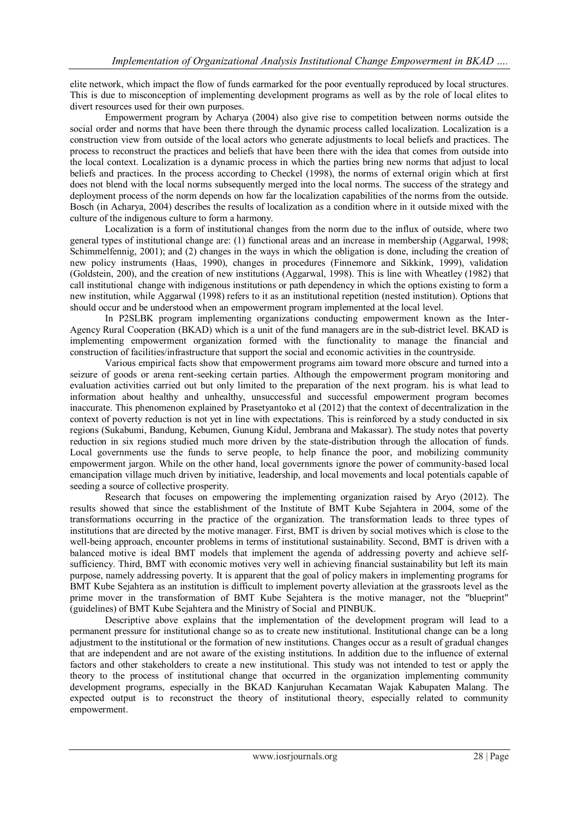elite network, which impact the flow of funds earmarked for the poor eventually reproduced by local structures. This is due to misconception of implementing development programs as well as by the role of local elites to divert resources used for their own purposes.

Empowerment program by Acharya (2004) also give rise to competition between norms outside the social order and norms that have been there through the dynamic process called localization. Localization is a construction view from outside of the local actors who generate adjustments to local beliefs and practices. The process to reconstruct the practices and beliefs that have been there with the idea that comes from outside into the local context. Localization is a dynamic process in which the parties bring new norms that adjust to local beliefs and practices. In the process according to Checkel (1998), the norms of external origin which at first does not blend with the local norms subsequently merged into the local norms. The success of the strategy and deployment process of the norm depends on how far the localization capabilities of the norms from the outside. Bosch (in Acharya, 2004) describes the results of localization as a condition where in it outside mixed with the culture of the indigenous culture to form a harmony.

Localization is a form of institutional changes from the norm due to the influx of outside, where two general types of institutional change are: (1) functional areas and an increase in membership (Aggarwal, 1998; Schimmelfennig, 2001); and (2) changes in the ways in which the obligation is done, including the creation of new policy instruments (Haas, 1990), changes in procedures (Finnemore and Sikkink, 1999), validation (Goldstein, 200), and the creation of new institutions (Aggarwal, 1998). This is line with Wheatley (1982) that call institutional change with indigenous institutions or path dependency in which the options existing to form a new institution, while Aggarwal (1998) refers to it as an institutional repetition (nested institution). Options that should occur and be understood when an empowerment program implemented at the local level.

In P2SLBK program implementing organizations conducting empowerment known as the Inter-Agency Rural Cooperation (BKAD) which is a unit of the fund managers are in the sub-district level. BKAD is implementing empowerment organization formed with the functionality to manage the financial and construction of facilities/infrastructure that support the social and economic activities in the countryside.

Various empirical facts show that empowerment programs aim toward more obscure and turned into a seizure of goods or arena rent-seeking certain parties. Although the empowerment program monitoring and evaluation activities carried out but only limited to the preparation of the next program. his is what lead to information about healthy and unhealthy, unsuccessful and successful empowerment program becomes inaccurate. This phenomenon explained by Prasetyantoko et al (2012) that the context of decentralization in the context of poverty reduction is not yet in line with expectations. This is reinforced by a study conducted in six regions (Sukabumi, Bandung, Kebumen, Gunung Kidul, Jembrana and Makassar). The study notes that poverty reduction in six regions studied much more driven by the state-distribution through the allocation of funds. Local governments use the funds to serve people, to help finance the poor, and mobilizing community empowerment jargon. While on the other hand, local governments ignore the power of community-based local emancipation village much driven by initiative, leadership, and local movements and local potentials capable of seeding a source of collective prosperity.

Research that focuses on empowering the implementing organization raised by Aryo (2012). The results showed that since the establishment of the Institute of BMT Kube Sejahtera in 2004, some of the transformations occurring in the practice of the organization. The transformation leads to three types of institutions that are directed by the motive manager. First, BMT is driven by social motives which is close to the well-being approach, encounter problems in terms of institutional sustainability. Second, BMT is driven with a balanced motive is ideal BMT models that implement the agenda of addressing poverty and achieve selfsufficiency. Third, BMT with economic motives very well in achieving financial sustainability but left its main purpose, namely addressing poverty. It is apparent that the goal of policy makers in implementing programs for BMT Kube Sejahtera as an institution is difficult to implement poverty alleviation at the grassroots level as the prime mover in the transformation of BMT Kube Sejahtera is the motive manager, not the "blueprint" (guidelines) of BMT Kube Sejahtera and the Ministry of Social and PINBUK.

Descriptive above explains that the implementation of the development program will lead to a permanent pressure for institutional change so as to create new institutional. Institutional change can be a long adjustment to the institutional or the formation of new institutions. Changes occur as a result of gradual changes that are independent and are not aware of the existing institutions. In addition due to the influence of external factors and other stakeholders to create a new institutional. This study was not intended to test or apply the theory to the process of institutional change that occurred in the organization implementing community development programs, especially in the BKAD Kanjuruhan Kecamatan Wajak Kabupaten Malang. The expected output is to reconstruct the theory of institutional theory, especially related to community empowerment.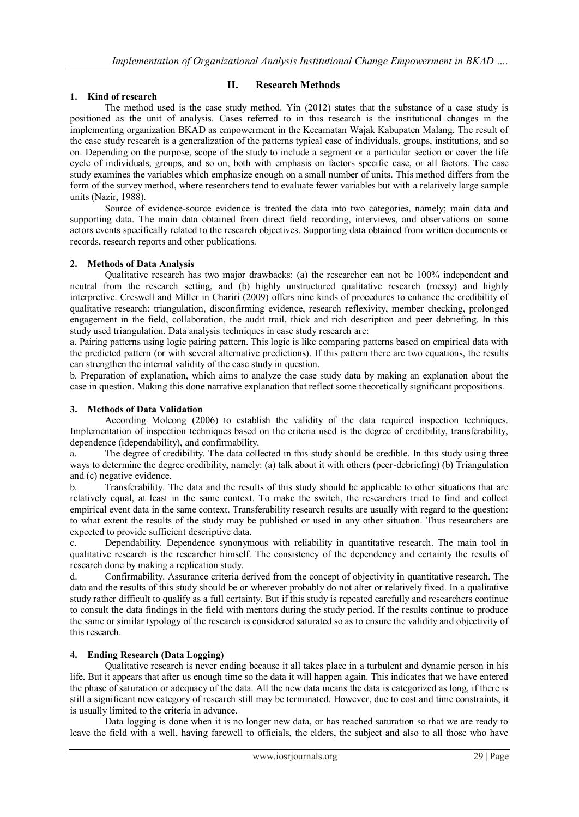## **1. Kind of research**

## **II. Research Methods**

The method used is the case study method. Yin (2012) states that the substance of a case study is positioned as the unit of analysis. Cases referred to in this research is the institutional changes in the implementing organization BKAD as empowerment in the Kecamatan Wajak Kabupaten Malang. The result of the case study research is a generalization of the patterns typical case of individuals, groups, institutions, and so on. Depending on the purpose, scope of the study to include a segment or a particular section or cover the life cycle of individuals, groups, and so on, both with emphasis on factors specific case, or all factors. The case study examines the variables which emphasize enough on a small number of units. This method differs from the form of the survey method, where researchers tend to evaluate fewer variables but with a relatively large sample units (Nazir, 1988).

Source of evidence-source evidence is treated the data into two categories, namely; main data and supporting data. The main data obtained from direct field recording, interviews, and observations on some actors events specifically related to the research objectives. Supporting data obtained from written documents or records, research reports and other publications.

### **2. Methods of Data Analysis**

Qualitative research has two major drawbacks: (a) the researcher can not be 100% independent and neutral from the research setting, and (b) highly unstructured qualitative research (messy) and highly interpretive. Creswell and Miller in Chariri (2009) offers nine kinds of procedures to enhance the credibility of qualitative research: triangulation, disconfirming evidence, research reflexivity, member checking, prolonged engagement in the field, collaboration, the audit trail, thick and rich description and peer debriefing. In this study used triangulation. Data analysis techniques in case study research are:

a. Pairing patterns using logic pairing pattern. This logic is like comparing patterns based on empirical data with the predicted pattern (or with several alternative predictions). If this pattern there are two equations, the results can strengthen the internal validity of the case study in question.

b. Preparation of explanation, which aims to analyze the case study data by making an explanation about the case in question. Making this done narrative explanation that reflect some theoretically significant propositions.

### **3. Methods of Data Validation**

According Moleong (2006) to establish the validity of the data required inspection techniques. Implementation of inspection techniques based on the criteria used is the degree of credibility, transferability, dependence (idependability), and confirmability.

a. The degree of credibility. The data collected in this study should be credible. In this study using three ways to determine the degree credibility, namely: (a) talk about it with others (peer-debriefing) (b) Triangulation and (c) negative evidence.

b. Transferability. The data and the results of this study should be applicable to other situations that are relatively equal, at least in the same context. To make the switch, the researchers tried to find and collect empirical event data in the same context. Transferability research results are usually with regard to the question: to what extent the results of the study may be published or used in any other situation. Thus researchers are expected to provide sufficient descriptive data.

c. Dependability. Dependence synonymous with reliability in quantitative research. The main tool in qualitative research is the researcher himself. The consistency of the dependency and certainty the results of research done by making a replication study.

d. Confirmability. Assurance criteria derived from the concept of objectivity in quantitative research. The data and the results of this study should be or wherever probably do not alter or relatively fixed. In a qualitative study rather difficult to qualify as a full certainty. But if this study is repeated carefully and researchers continue to consult the data findings in the field with mentors during the study period. If the results continue to produce the same or similar typology of the research is considered saturated so as to ensure the validity and objectivity of this research.

### **4. Ending Research (Data Logging)**

Qualitative research is never ending because it all takes place in a turbulent and dynamic person in his life. But it appears that after us enough time so the data it will happen again. This indicates that we have entered the phase of saturation or adequacy of the data. All the new data means the data is categorized as long, if there is still a significant new category of research still may be terminated. However, due to cost and time constraints, it is usually limited to the criteria in advance.

Data logging is done when it is no longer new data, or has reached saturation so that we are ready to leave the field with a well, having farewell to officials, the elders, the subject and also to all those who have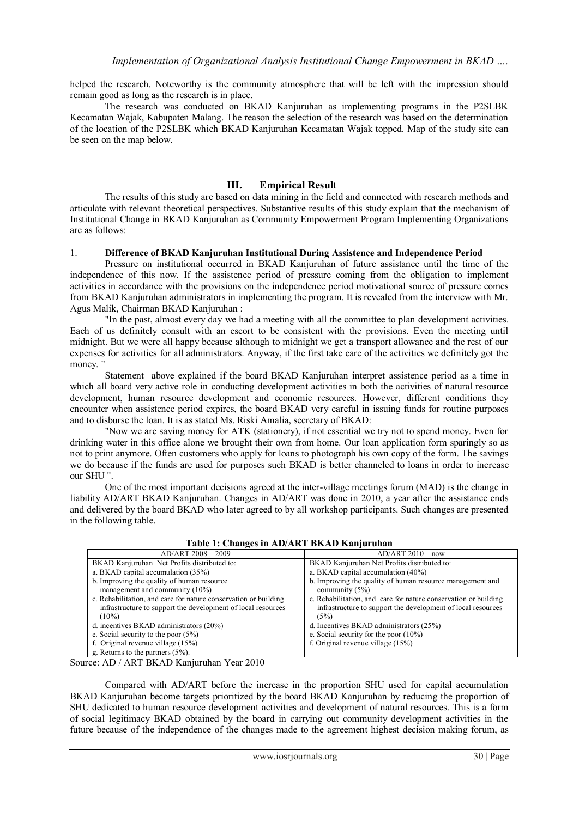helped the research. Noteworthy is the community atmosphere that will be left with the impression should remain good as long as the research is in place.

The research was conducted on BKAD Kanjuruhan as implementing programs in the P2SLBK Kecamatan Wajak, Kabupaten Malang. The reason the selection of the research was based on the determination of the location of the P2SLBK which BKAD Kanjuruhan Kecamatan Wajak topped. Map of the study site can be seen on the map below.

### **III. Empirical Result**

The results of this study are based on data mining in the field and connected with research methods and articulate with relevant theoretical perspectives. Substantive results of this study explain that the mechanism of Institutional Change in BKAD Kanjuruhan as Community Empowerment Program Implementing Organizations are as follows:

#### 1. **Difference of BKAD Kanjuruhan Institutional During Assistence and Independence Period**

Pressure on institutional occurred in BKAD Kanjuruhan of future assistance until the time of the independence of this now. If the assistence period of pressure coming from the obligation to implement activities in accordance with the provisions on the independence period motivational source of pressure comes from BKAD Kanjuruhan administrators in implementing the program. It is revealed from the interview with Mr. Agus Malik, Chairman BKAD Kanjuruhan :

"In the past, almost every day we had a meeting with all the committee to plan development activities. Each of us definitely consult with an escort to be consistent with the provisions. Even the meeting until midnight. But we were all happy because although to midnight we get a transport allowance and the rest of our expenses for activities for all administrators. Anyway, if the first take care of the activities we definitely got the money.

Statement above explained if the board BKAD Kanjuruhan interpret assistence period as a time in which all board very active role in conducting development activities in both the activities of natural resource development, human resource development and economic resources. However, different conditions they encounter when assistence period expires, the board BKAD very careful in issuing funds for routine purposes and to disburse the loan. It is as stated Ms. Riski Amalia, secretary of BKAD:

"Now we are saving money for ATK (stationery), if not essential we try not to spend money. Even for drinking water in this office alone we brought their own from home. Our loan application form sparingly so as not to print anymore. Often customers who apply for loans to photograph his own copy of the form. The savings we do because if the funds are used for purposes such BKAD is better channeled to loans in order to increase our SHU ".

One of the most important decisions agreed at the inter-village meetings forum (MAD) is the change in liability AD/ART BKAD Kanjuruhan. Changes in AD/ART was done in 2010, a year after the assistance ends and delivered by the board BKAD who later agreed to by all workshop participants. Such changes are presented in the following table.

| AD/ART 2008 - 2009                                              | $AD/ART 2010 - now$                                             |
|-----------------------------------------------------------------|-----------------------------------------------------------------|
| BKAD Kanjuruhan Net Profits distributed to:                     | BKAD Kanjuruhan Net Profits distributed to:                     |
| a. BKAD capital accumulation (35%)                              | a. BKAD capital accumulation $(40\%)$                           |
| b. Improving the quality of human resource                      | b. Improving the quality of human resource management and       |
| management and community $(10\%)$                               | community $(5\%)$                                               |
| c. Rehabilitation, and care for nature conservation or building | c. Rehabilitation, and care for nature conservation or building |
| infrastructure to support the development of local resources    | infrastructure to support the development of local resources    |
| $(10\%)$                                                        | (5%)                                                            |
| d. incentives $BKAD$ administrators $(20\%)$                    | d. Incentives BKAD administrators $(25%)$                       |
| e. Social security to the poor $(5%)$                           | e. Social security for the poor $(10\%)$                        |
| f. Original revenue village $(15%)$                             | f. Original revenue village $(15%)$                             |
| g. Returns to the partners $(5\%)$ .                            |                                                                 |

**Table 1: Changes in AD/ART BKAD Kanjuruhan**

Source: AD / ART BKAD Kanjuruhan Year 2010

Compared with AD/ART before the increase in the proportion SHU used for capital accumulation BKAD Kanjuruhan become targets prioritized by the board BKAD Kanjuruhan by reducing the proportion of SHU dedicated to human resource development activities and development of natural resources. This is a form of social legitimacy BKAD obtained by the board in carrying out community development activities in the future because of the independence of the changes made to the agreement highest decision making forum, as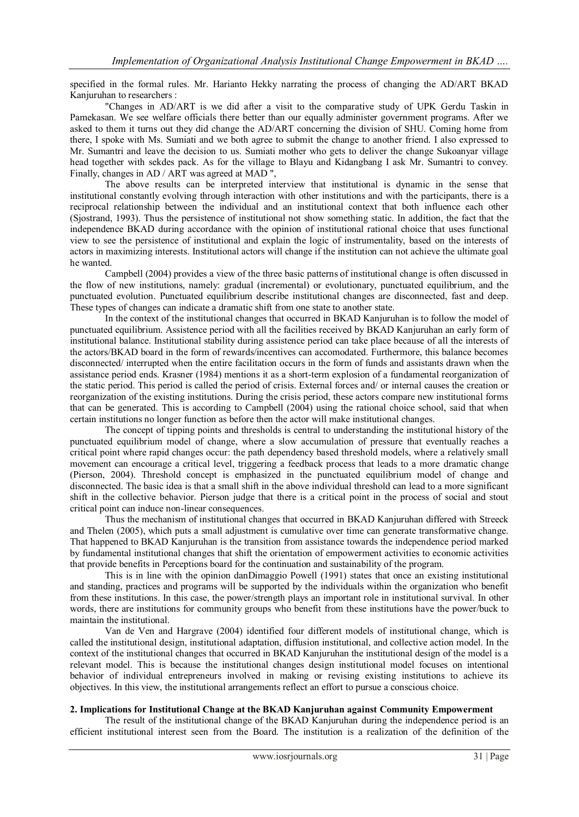specified in the formal rules. Mr. Harianto Hekky narrating the process of changing the AD/ART BKAD Kanjuruhan to researchers :

"Changes in AD/ART is we did after a visit to the comparative study of UPK Gerdu Taskin in Pamekasan. We see welfare officials there better than our equally administer government programs. After we asked to them it turns out they did change the AD/ART concerning the division of SHU. Coming home from there, I spoke with Ms. Sumiati and we both agree to submit the change to another friend. I also expressed to Mr. Sumantri and leave the decision to us. Sumiati mother who gets to deliver the change Sukoanyar village head together with sekdes pack. As for the village to Blayu and Kidangbang I ask Mr. Sumantri to convey. Finally, changes in AD / ART was agreed at MAD ",

The above results can be interpreted interview that institutional is dynamic in the sense that institutional constantly evolving through interaction with other institutions and with the participants, there is a reciprocal relationship between the individual and an institutional context that both influence each other (Sjostrand, 1993). Thus the persistence of institutional not show something static. In addition, the fact that the independence BKAD during accordance with the opinion of institutional rational choice that uses functional view to see the persistence of institutional and explain the logic of instrumentality, based on the interests of actors in maximizing interests. Institutional actors will change if the institution can not achieve the ultimate goal he wanted.

Campbell (2004) provides a view of the three basic patterns of institutional change is often discussed in the flow of new institutions, namely: gradual (incremental) or evolutionary, punctuated equilibrium, and the punctuated evolution. Punctuated equilibrium describe institutional changes are disconnected, fast and deep. These types of changes can indicate a dramatic shift from one state to another state.

In the context of the institutional changes that occurred in BKAD Kanjuruhan is to follow the model of punctuated equilibrium. Assistence period with all the facilities received by BKAD Kanjuruhan an early form of institutional balance. Institutional stability during assistence period can take place because of all the interests of the actors/BKAD board in the form of rewards/incentives can accomodated. Furthermore, this balance becomes disconnected/ interrupted when the entire facilitation occurs in the form of funds and assistants drawn when the assistance period ends. Krasner (1984) mentions it as a short-term explosion of a fundamental reorganization of the static period. This period is called the period of crisis. External forces and/ or internal causes the creation or reorganization of the existing institutions. During the crisis period, these actors compare new institutional forms that can be generated. This is according to Campbell (2004) using the rational choice school, said that when certain institutions no longer function as before then the actor will make institutional changes.

The concept of tipping points and thresholds is central to understanding the institutional history of the punctuated equilibrium model of change, where a slow accumulation of pressure that eventually reaches a critical point where rapid changes occur: the path dependency based threshold models, where a relatively small movement can encourage a critical level, triggering a feedback process that leads to a more dramatic change (Pierson, 2004). Threshold concept is emphasized in the punctuated equilibrium model of change and disconnected. The basic idea is that a small shift in the above individual threshold can lead to a more significant shift in the collective behavior. Pierson judge that there is a critical point in the process of social and stout critical point can induce non-linear consequences.

Thus the mechanism of institutional changes that occurred in BKAD Kanjuruhan differed with Streeck and Thelen (2005), which puts a small adjustment is cumulative over time can generate transformative change. That happened to BKAD Kanjuruhan is the transition from assistance towards the independence period marked by fundamental institutional changes that shift the orientation of empowerment activities to economic activities that provide benefits in Perceptions board for the continuation and sustainability of the program.

This is in line with the opinion danDimaggio Powell (1991) states that once an existing institutional and standing, practices and programs will be supported by the individuals within the organization who benefit from these institutions. In this case, the power/strength plays an important role in institutional survival. In other words, there are institutions for community groups who benefit from these institutions have the power/buck to maintain the institutional.

Van de Ven and Hargrave (2004) identified four different models of institutional change, which is called the institutional design, institutional adaptation, diffusion institutional, and collective action model. In the context of the institutional changes that occurred in BKAD Kanjuruhan the institutional design of the model is a relevant model. This is because the institutional changes design institutional model focuses on intentional behavior of individual entrepreneurs involved in making or revising existing institutions to achieve its objectives. In this view, the institutional arrangements reflect an effort to pursue a conscious choice.

#### **2. Implications for Institutional Change at the BKAD Kanjuruhan against Community Empowerment**

The result of the institutional change of the BKAD Kanjuruhan during the independence period is an efficient institutional interest seen from the Board. The institution is a realization of the definition of the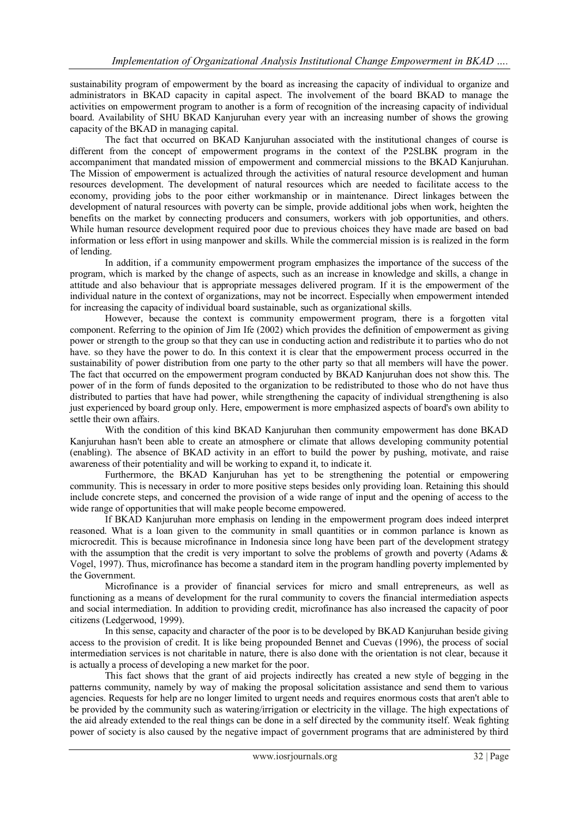sustainability program of empowerment by the board as increasing the capacity of individual to organize and administrators in BKAD capacity in capital aspect. The involvement of the board BKAD to manage the activities on empowerment program to another is a form of recognition of the increasing capacity of individual board. Availability of SHU BKAD Kanjuruhan every year with an increasing number of shows the growing capacity of the BKAD in managing capital.

The fact that occurred on BKAD Kanjuruhan associated with the institutional changes of course is different from the concept of empowerment programs in the context of the P2SLBK program in the accompaniment that mandated mission of empowerment and commercial missions to the BKAD Kanjuruhan. The Mission of empowerment is actualized through the activities of natural resource development and human resources development. The development of natural resources which are needed to facilitate access to the economy, providing jobs to the poor either workmanship or in maintenance. Direct linkages between the development of natural resources with poverty can be simple, provide additional jobs when work, heighten the benefits on the market by connecting producers and consumers, workers with job opportunities, and others. While human resource development required poor due to previous choices they have made are based on bad information or less effort in using manpower and skills. While the commercial mission is is realized in the form of lending.

In addition, if a community empowerment program emphasizes the importance of the success of the program, which is marked by the change of aspects, such as an increase in knowledge and skills, a change in attitude and also behaviour that is appropriate messages delivered program. If it is the empowerment of the individual nature in the context of organizations, may not be incorrect. Especially when empowerment intended for increasing the capacity of individual board sustainable, such as organizational skills.

However, because the context is community empowerment program, there is a forgotten vital component. Referring to the opinion of Jim Ife (2002) which provides the definition of empowerment as giving power or strength to the group so that they can use in conducting action and redistribute it to parties who do not have. so they have the power to do. In this context it is clear that the empowerment process occurred in the sustainability of power distribution from one party to the other party so that all members will have the power. The fact that occurred on the empowerment program conducted by BKAD Kanjuruhan does not show this. The power of in the form of funds deposited to the organization to be redistributed to those who do not have thus distributed to parties that have had power, while strengthening the capacity of individual strengthening is also just experienced by board group only. Here, empowerment is more emphasized aspects of board's own ability to settle their own affairs.

With the condition of this kind BKAD Kanjuruhan then community empowerment has done BKAD Kanjuruhan hasn't been able to create an atmosphere or climate that allows developing community potential (enabling). The absence of BKAD activity in an effort to build the power by pushing, motivate, and raise awareness of their potentiality and will be working to expand it, to indicate it.

Furthermore, the BKAD Kanjuruhan has yet to be strengthening the potential or empowering community. This is necessary in order to more positive steps besides only providing loan. Retaining this should include concrete steps, and concerned the provision of a wide range of input and the opening of access to the wide range of opportunities that will make people become empowered.

If BKAD Kanjuruhan more emphasis on lending in the empowerment program does indeed interpret reasoned. What is a loan given to the community in small quantities or in common parlance is known as microcredit. This is because microfinance in Indonesia since long have been part of the development strategy with the assumption that the credit is very important to solve the problems of growth and poverty (Adams  $\&$ Vogel, 1997). Thus, microfinance has become a standard item in the program handling poverty implemented by the Government.

Microfinance is a provider of financial services for micro and small entrepreneurs, as well as functioning as a means of development for the rural community to covers the financial intermediation aspects and social intermediation. In addition to providing credit, microfinance has also increased the capacity of poor citizens (Ledgerwood, 1999).

In this sense, capacity and character of the poor is to be developed by BKAD Kanjuruhan beside giving access to the provision of credit. It is like being propounded Bennet and Cuevas (1996), the process of social intermediation services is not charitable in nature, there is also done with the orientation is not clear, because it is actually a process of developing a new market for the poor.

This fact shows that the grant of aid projects indirectly has created a new style of begging in the patterns community, namely by way of making the proposal solicitation assistance and send them to various agencies. Requests for help are no longer limited to urgent needs and requires enormous costs that aren't able to be provided by the community such as watering/irrigation or electricity in the village. The high expectations of the aid already extended to the real things can be done in a self directed by the community itself. Weak fighting power of society is also caused by the negative impact of government programs that are administered by third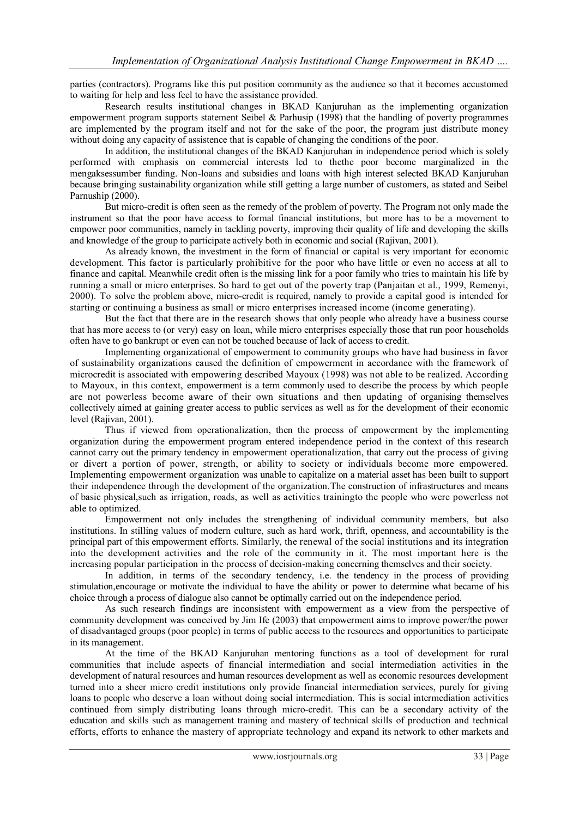parties (contractors). Programs like this put position community as the audience so that it becomes accustomed to waiting for help and less feel to have the assistance provided.

Research results institutional changes in BKAD Kanjuruhan as the implementing organization empowerment program supports statement Seibel & Parhusip (1998) that the handling of poverty programmes are implemented by the program itself and not for the sake of the poor, the program just distribute money without doing any capacity of assistence that is capable of changing the conditions of the poor.

In addition, the institutional changes of the BKAD Kanjuruhan in independence period which is solely performed with emphasis on commercial interests led to thethe poor become marginalized in the mengaksessumber funding. Non-loans and subsidies and loans with high interest selected BKAD Kanjuruhan because bringing sustainability organization while still getting a large number of customers, as stated and Seibel Parnuship (2000).

But micro-credit is often seen as the remedy of the problem of poverty. The Program not only made the instrument so that the poor have access to formal financial institutions, but more has to be a movement to empower poor communities, namely in tackling poverty, improving their quality of life and developing the skills and knowledge of the group to participate actively both in economic and social (Rajivan, 2001).

As already known, the investment in the form of financial or capital is very important for economic development. This factor is particularly prohibitive for the poor who have little or even no access at all to finance and capital. Meanwhile credit often is the missing link for a poor family who tries to maintain his life by running a small or micro enterprises. So hard to get out of the poverty trap (Panjaitan et al., 1999, Remenyi, 2000). To solve the problem above, micro-credit is required, namely to provide a capital good is intended for starting or continuing a business as small or micro enterprises increased income (income generating).

But the fact that there are in the research shows that only people who already have a business course that has more access to (or very) easy on loan, while micro enterprises especially those that run poor households often have to go bankrupt or even can not be touched because of lack of access to credit.

Implementing organizational of empowerment to community groups who have had business in favor of sustainability organizations caused the definition of empowerment in accordance with the framework of microcredit is associated with empowering described Mayoux (1998) was not able to be realized. According to Mayoux, in this context, empowerment is a term commonly used to describe the process by which people are not powerless become aware of their own situations and then updating of organising themselves collectively aimed at gaining greater access to public services as well as for the development of their economic level (Rajivan, 2001).

Thus if viewed from operationalization, then the process of empowerment by the implementing organization during the empowerment program entered independence period in the context of this research cannot carry out the primary tendency in empowerment operationalization, that carry out the process of giving or divert a portion of power, strength, or ability to society or individuals become more empowered. Implementing empowerment organization was unable to capitalize on a material asset has been built to support their independence through the development of the organization.The construction of infrastructures and means of basic physical,such as irrigation, roads, as well as activities trainingto the people who were powerless not able to optimized.

Empowerment not only includes the strengthening of individual community members, but also institutions. In stilling values of modern culture, such as hard work, thrift, openness, and accountability is the principal part of this empowerment efforts. Similarly, the renewal of the social institutions and its integration into the development activities and the role of the community in it. The most important here is the increasing popular participation in the process of decision-making concerning themselves and their society.

In addition, in terms of the secondary tendency, i.e. the tendency in the process of providing stimulation,encourage or motivate the individual to have the ability or power to determine what became of his choice through a process of dialogue also cannot be optimally carried out on the independence period.

As such research findings are inconsistent with empowerment as a view from the perspective of community development was conceived by Jim Ife (2003) that empowerment aims to improve power/the power of disadvantaged groups (poor people) in terms of public access to the resources and opportunities to participate in its management.

At the time of the BKAD Kanjuruhan mentoring functions as a tool of development for rural communities that include aspects of financial intermediation and social intermediation activities in the development of natural resources and human resources development as well as economic resources development turned into a sheer micro credit institutions only provide financial intermediation services, purely for giving loans to people who deserve a loan without doing social intermediation. This is social intermediation activities continued from simply distributing loans through micro-credit. This can be a secondary activity of the education and skills such as management training and mastery of technical skills of production and technical efforts, efforts to enhance the mastery of appropriate technology and expand its network to other markets and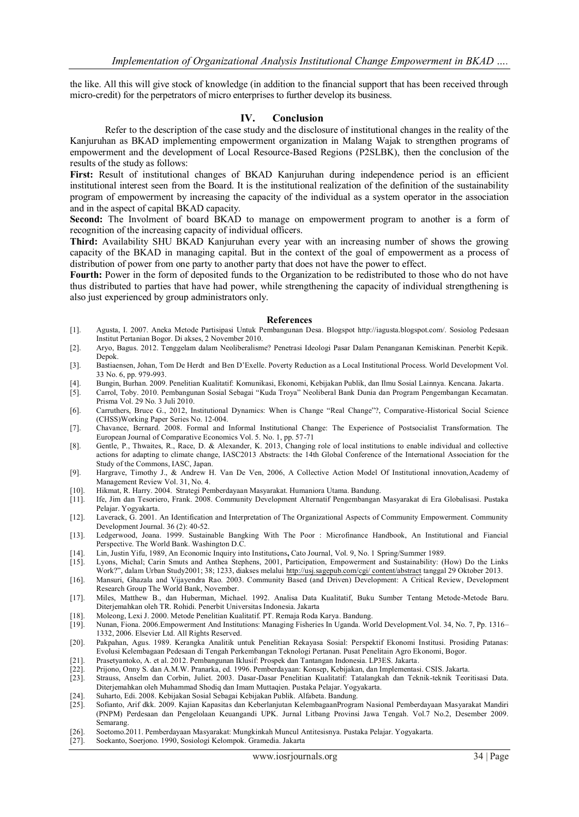the like. All this will give stock of knowledge (in addition to the financial support that has been received through micro-credit) for the perpetrators of micro enterprises to further develop its business.

#### **IV. Conclusion**

Refer to the description of the case study and the disclosure of institutional changes in the reality of the Kanjuruhan as BKAD implementing empowerment organization in Malang Wajak to strengthen programs of empowerment and the development of Local Resource-Based Regions (P2SLBK), then the conclusion of the results of the study as follows:

**First:** Result of institutional changes of BKAD Kanjuruhan during independence period is an efficient institutional interest seen from the Board. It is the institutional realization of the definition of the sustainability program of empowerment by increasing the capacity of the individual as a system operator in the association and in the aspect of capital BKAD capacity.

**Second:** The Involment of board BKAD to manage on empowerment program to another is a form of recognition of the increasing capacity of individual officers.

**Third:** Availability SHU BKAD Kanjuruhan every year with an increasing number of shows the growing capacity of the BKAD in managing capital. But in the context of the goal of empowerment as a process of distribution of power from one party to another party that does not have the power to effect.

**Fourth:** Power in the form of deposited funds to the Organization to be redistributed to those who do not have thus distributed to parties that have had power, while strengthening the capacity of individual strengthening is also just experienced by group administrators only.

#### **References**

- [1]. Agusta, I. 2007. Aneka Metode Partisipasi Untuk Pembangunan Desa. Blogspot http://iagusta.blogspot.com/. Sosiolog Pedesaan Institut Pertanian Bogor. Di akses, 2 November 2010.
- [2]. Aryo, Bagus. 2012. Tenggelam dalam Neoliberalisme? Penetrasi Ideologi Pasar Dalam Penanganan Kemiskinan. Penerbit Kepik. Depok.
- [3]. Bastiaensen, Johan, Tom De Herdt and Ben D'Exelle. Poverty Reduction as a Local Institutional Process. World Development Vol. 33 No. 6, pp. 979-993.
- [4]. Bungin, Burhan. 2009. Penelitian Kualitatif: Komunikasi, Ekonomi, Kebijakan Publik, dan Ilmu Sosial Lainnya. Kencana. Jakarta.
- [5]. Carrol, Toby. 2010. Pembangunan Sosial Sebagai "Kuda Troya" Neoliberal Bank Dunia dan Program Pengembangan Kecamatan. Prisma Vol. 29 No. 3 Juli 2010.
- [6]. Carruthers, Bruce G., 2012, Institutional Dynamics: When is Change "Real Change"?, Comparative-Historical Social Science (CHSS)Working Paper Series No. 12-004.
- [7]. Chavance, Bernard. 2008. Formal and Informal Institutional Change: The Experience of Postsocialist Transformation. The European Journal of Comparative Economics Vol. 5. No. 1, pp. 57-71
- [8]. Gentle, P., Thwaites, R., Race, D. & Alexander, K. 2013, Changing role of local institutions to enable individual and collective actions for adapting to climate change, IASC2013 Abstracts: the 14th Global Conference of the International Association for the Study of the Commons, IASC, Japan.
- [9]. Hargrave, Timothy J., & Andrew H. Van De Ven, 2006, A Collective Action Model Of Institutional innovation,Academy of Management Review Vol. 31, No. 4.
- [10]. Hikmat, R. Harry. 2004. Strategi Pemberdayaan Masyarakat. Humaniora Utama. Bandung.
- [11]. Ife, Jim dan Tesoriero, Frank. 2008. Community Development Alternatif Pengembangan Masyarakat di Era Globalisasi. Pustaka Pelajar. Yogyakarta.
- [12]. Laverack, G. 2001. An Identification and Interpretation of The Organizational Aspects of Community Empowerment. Community Development Journal. 36 (2): 40-52.
- [13]. Ledgerwood, Joana. 1999. Sustainable Bangking With The Poor : Microfinance Handbook, An Institutional and Fiancial Perspective. The World Bank. Washington D.C.
- [14]. Lin, Justin Yifu, 1989, An Economic Inquiry into Institutions**,** Cato Journal, Vol. 9, No. 1 Spring/Summer 1989.
- [15]. Lyons, Michal; Carin Smuts and Anthea Stephens, 2001, Participation, Empowerment and Sustainability: (How) Do the Links Work?", dalam Urban Study2001; 38; 1233, diakses melalui [http://usj.sagepub.com/cgi/ content/abstract](http://usj.sagepub.com/cgi/%20content/abstract) tanggal 29 Oktober 2013.
- [16]. Mansuri, Ghazala and Vijayendra Rao. 2003. Community Based (and Driven) Development: A Critical Review, Development Research Group The World Bank, November.
- [17]. Miles, Matthew B., dan Huberman, Michael. 1992. Analisa Data Kualitatif, Buku Sumber Tentang Metode-Metode Baru. Diterjemahkan oleh TR. Rohidi. Penerbit Universitas Indonesia. Jakarta
- [18]. Moleong, Lexi J. 2000. Metode Penelitian Kualitatif. PT. Remaja Roda Karya. Bandung.
- [19]. Nunan, Fiona. 2006.Empowerment And Institutions: Managing Fisheries In Uganda. World Development.Vol. 34, No. 7, Pp. 1316– 1332, 2006. Elsevier Ltd. All Rights Reserved.
- [20]. Pakpahan, Agus. 1989. Kerangka Analitik untuk Penelitian Rekayasa Sosial: Perspektif Ekonomi Institusi. Prosiding Patanas: Evolusi Kelembagaan Pedesaan di Tengah Perkembangan Teknologi Pertanan. Pusat Penelitain Agro Ekonomi, Bogor.
- [21]. Prasetyantoko, A. et al. 2012. Pembangunan Iklusif: Prospek dan Tantangan Indonesia. LP3ES. Jakarta.
- [22]. Prijono, Onny S. dan A.M.W. Pranarka, ed. 1996. Pemberdayaan: Konsep, Kebijakan, dan Implementasi. CSIS. Jakarta.
- [23]. Strauss, Anselm dan Corbin, Juliet. 2003. Dasar-Dasar Penelitian Kualitatif: Tatalangkah dan Teknik-teknik Teoritisasi Data. Diterjemahkan oleh Muhammad Shodiq dan Imam Muttaqien. Pustaka Pelajar. Yogyakarta.
- [24]. Suharto, Edi. 2008. Kebijakan Sosial Sebagai Kebijakan Publik. Alfabeta. Bandung.
- [25]. Sofianto, Arif dkk. 2009. Kajian Kapasitas dan Keberlanjutan KelembagaanProgram Nasional Pemberdayaan Masyarakat Mandiri (PNPM) Perdesaan dan Pengelolaan Keuangandi UPK. Jurnal Litbang Provinsi Jawa Tengah. Vol.7 No.2, Desember 2009. Semarang.
- [26]. Soetomo.2011. Pemberdayaan Masyarakat: Mungkinkah Muncul Antitesisnya. Pustaka Pelajar. Yogyakarta.
- [27]. Soekanto, Soerjono. 1990, Sosiologi Kelompok. Gramedia. Jakarta